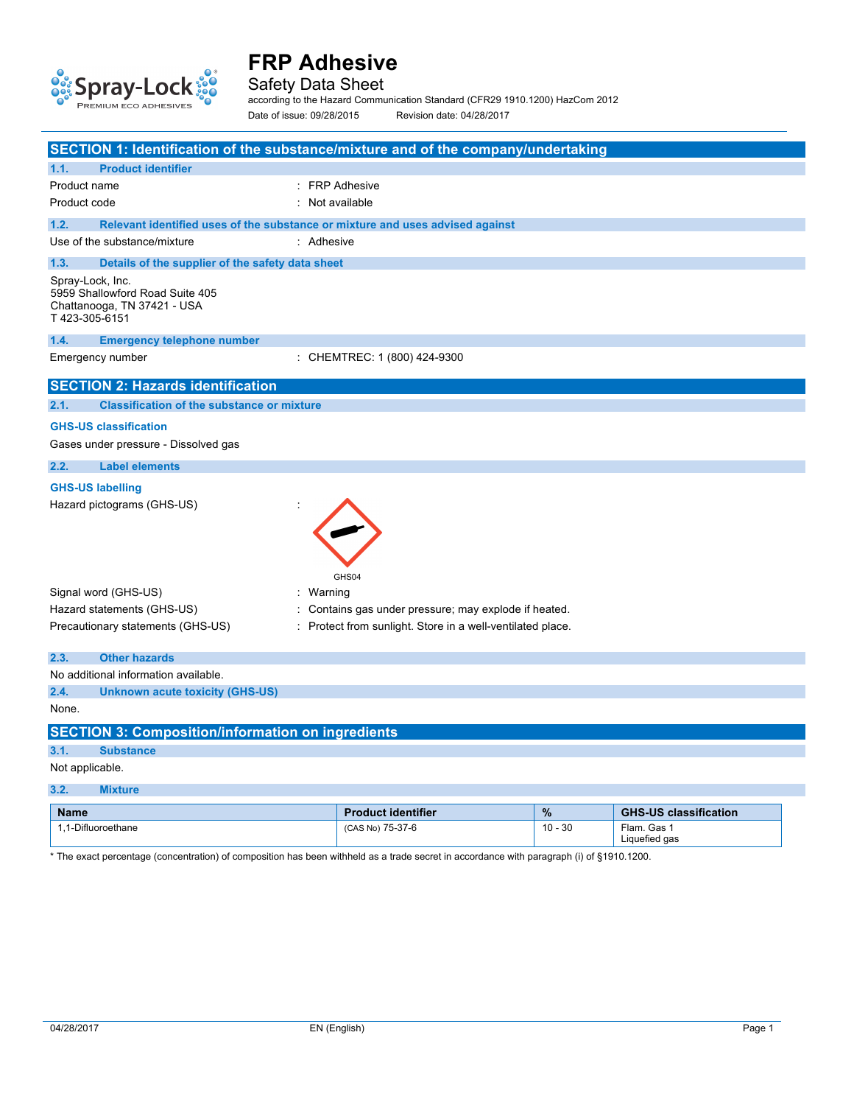

Safety Data Sheet

according to the Hazard Communication Standard (CFR29 1910.1200) HazCom 2012

Date of issue: 09/28/2015 Revision date: 04/28/2017

| SECTION 1: Identification of the substance/mixture and of the company/undertaking                   |                                                            |           |                              |
|-----------------------------------------------------------------------------------------------------|------------------------------------------------------------|-----------|------------------------------|
| <b>Product identifier</b><br>1.1.                                                                   |                                                            |           |                              |
| Product name                                                                                        | : FRP Adhesive                                             |           |                              |
| Product code                                                                                        | : Not available                                            |           |                              |
| 1.2.<br>Relevant identified uses of the substance or mixture and uses advised against               |                                                            |           |                              |
| Use of the substance/mixture<br>: Adhesive                                                          |                                                            |           |                              |
| 1.3.<br>Details of the supplier of the safety data sheet                                            |                                                            |           |                              |
| Spray-Lock, Inc.<br>5959 Shallowford Road Suite 405<br>Chattanooga, TN 37421 - USA<br>T423-305-6151 |                                                            |           |                              |
| 1.4.<br><b>Emergency telephone number</b>                                                           |                                                            |           |                              |
| Emergency number                                                                                    | : CHEMTREC: 1 (800) 424-9300                               |           |                              |
| <b>SECTION 2: Hazards identification</b>                                                            |                                                            |           |                              |
| <b>Classification of the substance or mixture</b><br>2.1.                                           |                                                            |           |                              |
| <b>GHS-US classification</b><br>Gases under pressure - Dissolved gas                                |                                                            |           |                              |
|                                                                                                     |                                                            |           |                              |
| 2.2.<br><b>Label elements</b>                                                                       |                                                            |           |                              |
| <b>GHS-US labelling</b><br>Hazard pictograms (GHS-US)                                               | GHS04                                                      |           |                              |
| Signal word (GHS-US)<br>: Warning                                                                   |                                                            |           |                              |
| Hazard statements (GHS-US)                                                                          | : Contains gas under pressure; may explode if heated.      |           |                              |
| Precautionary statements (GHS-US)                                                                   | : Protect from sunlight. Store in a well-ventilated place. |           |                              |
| 2.3.<br><b>Other hazards</b>                                                                        |                                                            |           |                              |
| No additional information available.                                                                |                                                            |           |                              |
| 2.4.<br><b>Unknown acute toxicity (GHS-US)</b>                                                      |                                                            |           |                              |
| None.                                                                                               |                                                            |           |                              |
| <b>SECTION 3: Composition/information on ingredients</b>                                            |                                                            |           |                              |
| 3.1.<br><b>Substance</b>                                                                            |                                                            |           |                              |
| Not applicable.                                                                                     |                                                            |           |                              |
| 3.2.<br><b>Mixture</b>                                                                              |                                                            |           |                              |
| <b>Name</b>                                                                                         | <b>Product identifier</b>                                  | $\%$      | <b>GHS-US classification</b> |
| 1,1-Difluoroethane                                                                                  | (CAS No) 75-37-6                                           | $10 - 30$ | Flam. Gas 1<br>Liquefied gas |

\* The exact percentage (concentration) of composition has been withheld as a trade secret in accordance with paragraph (i) of §1910.1200.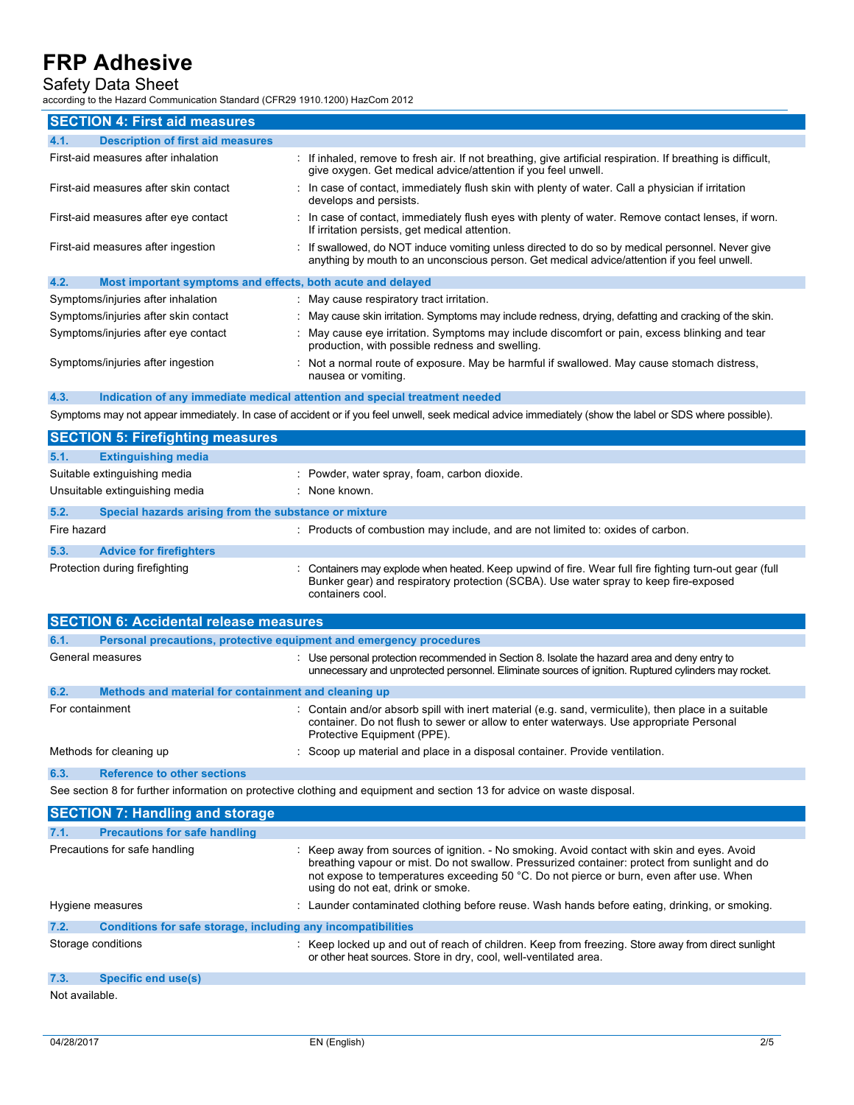## Safety Data Sheet

 $\frac{1}{100}$  Standard (CED20 1010 1200) HazCom 2012

| according to the Hazard Communication Standard (CFR29 1910.1200) HazCom 2012 |                                                                                                                                                                                                                  |
|------------------------------------------------------------------------------|------------------------------------------------------------------------------------------------------------------------------------------------------------------------------------------------------------------|
| <b>SECTION 4: First aid measures</b>                                         |                                                                                                                                                                                                                  |
| <b>Description of first aid measures</b><br>4.1.                             |                                                                                                                                                                                                                  |
| First-aid measures after inhalation                                          | : If inhaled, remove to fresh air. If not breathing, give artificial respiration. If breathing is difficult,<br>give oxygen. Get medical advice/attention if you feel unwell.                                    |
| First-aid measures after skin contact                                        | : In case of contact, immediately flush skin with plenty of water. Call a physician if irritation<br>develops and persists.                                                                                      |
| First-aid measures after eye contact                                         | : In case of contact, immediately flush eyes with plenty of water. Remove contact lenses, if worn.<br>If irritation persists, get medical attention.                                                             |
| First-aid measures after ingestion                                           | : If swallowed, do NOT induce vomiting unless directed to do so by medical personnel. Never give<br>anything by mouth to an unconscious person. Get medical advice/attention if you feel unwell.                 |
| 4.2.<br>Most important symptoms and effects, both acute and delayed          |                                                                                                                                                                                                                  |
| Symptoms/injuries after inhalation                                           | : May cause respiratory tract irritation.                                                                                                                                                                        |
| Symptoms/injuries after skin contact                                         | May cause skin irritation. Symptoms may include redness, drying, defatting and cracking of the skin.                                                                                                             |
| Symptoms/injuries after eye contact                                          | May cause eye irritation. Symptoms may include discomfort or pain, excess blinking and tear<br>production, with possible redness and swelling.                                                                   |
| Symptoms/injuries after ingestion                                            | Not a normal route of exposure. May be harmful if swallowed. May cause stomach distress,<br>nausea or vomiting.                                                                                                  |
| 4.3.                                                                         | Indication of any immediate medical attention and special treatment needed                                                                                                                                       |
|                                                                              | Symptoms may not appear immediately. In case of accident or if you feel unwell, seek medical advice immediately (show the label or SDS where possible).                                                          |
| <b>SECTION 5: Firefighting measures</b>                                      |                                                                                                                                                                                                                  |
| 5.1.<br><b>Extinguishing media</b>                                           |                                                                                                                                                                                                                  |
| Suitable extinguishing media                                                 | : Powder, water spray, foam, carbon dioxide.                                                                                                                                                                     |
| Unsuitable extinguishing media                                               | : None known.                                                                                                                                                                                                    |
| 5.2.<br>Special hazards arising from the substance or mixture                |                                                                                                                                                                                                                  |
| Fire hazard                                                                  | : Products of combustion may include, and are not limited to: oxides of carbon.                                                                                                                                  |
| 5.3.<br><b>Advice for firefighters</b>                                       |                                                                                                                                                                                                                  |
| Protection during firefighting                                               | Containers may explode when heated. Keep upwind of fire. Wear full fire fighting turn-out gear (full<br>Bunker gear) and respiratory protection (SCBA). Use water spray to keep fire-exposed<br>containers cool. |
| <b>SECTION 6: Accidental release measures</b>                                |                                                                                                                                                                                                                  |
| 6.1.<br>Personal precautions, protective equipment and emergency procedures  |                                                                                                                                                                                                                  |
| General measures                                                             | : Use personal protection recommended in Section 8. Isolate the hazard area and deny entry to                                                                                                                    |

|                 |                                                      | unnecessary and unprotected personnel. Eliminate sources of ignition. Ruptured cylinders may rocket.                                                                                                                          |
|-----------------|------------------------------------------------------|-------------------------------------------------------------------------------------------------------------------------------------------------------------------------------------------------------------------------------|
| 6.2.            | Methods and material for containment and cleaning up |                                                                                                                                                                                                                               |
| For containment |                                                      | : Contain and/or absorb spill with inert material (e.g. sand, vermiculite), then place in a suitable<br>container. Do not flush to sewer or allow to enter waterways. Use appropriate Personal<br>Protective Equipment (PPE). |
|                 | Methods for cleaning up                              | : Scoop up material and place in a disposal container. Provide ventilation.                                                                                                                                                   |
| 6.3.            | <b>Reference to other sections</b>                   |                                                                                                                                                                                                                               |

See section 8 for further information on protective clothing and equipment and section 13 for advice on waste disposal.

|                    | <b>SECTION 7: Handling and storage</b>                       |                                                                                                                                                                                                                                                                                                                              |
|--------------------|--------------------------------------------------------------|------------------------------------------------------------------------------------------------------------------------------------------------------------------------------------------------------------------------------------------------------------------------------------------------------------------------------|
| 7.1.               | <b>Precautions for safe handling</b>                         |                                                                                                                                                                                                                                                                                                                              |
|                    | Precautions for safe handling                                | : Keep away from sources of ignition. - No smoking. Avoid contact with skin and eyes. Avoid<br>breathing vapour or mist. Do not swallow. Pressurized container: protect from sunlight and do<br>not expose to temperatures exceeding 50 °C. Do not pierce or burn, even after use. When<br>using do not eat, drink or smoke. |
| Hygiene measures   |                                                              | : Launder contaminated clothing before reuse. Wash hands before eating, drinking, or smoking.                                                                                                                                                                                                                                |
| 7.2.               | Conditions for safe storage, including any incompatibilities |                                                                                                                                                                                                                                                                                                                              |
| Storage conditions |                                                              | : Keep locked up and out of reach of children. Keep from freezing. Store away from direct sunlight<br>or other heat sources. Store in dry, cool, well-ventilated area.                                                                                                                                                       |
| 7.3.               | <b>Specific end use(s)</b>                                   |                                                                                                                                                                                                                                                                                                                              |
| Not available.     |                                                              |                                                                                                                                                                                                                                                                                                                              |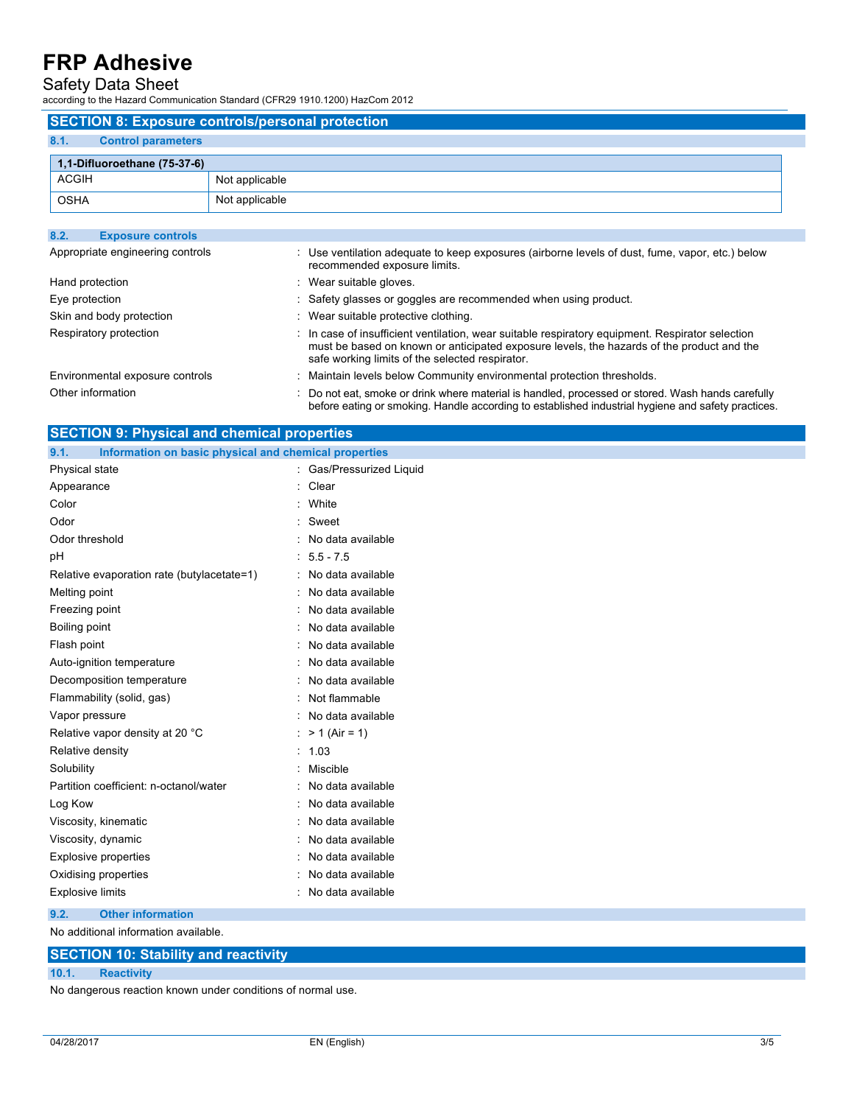## Safety Data Sheet

according to the Hazard Communication Standard (CFR29 1910.1200) HazCom 2012

| <b>SECTION 8: Exposure controls/personal protection</b> |                |  |  |
|---------------------------------------------------------|----------------|--|--|
| 8.1.<br><b>Control parameters</b>                       |                |  |  |
| 1,1-Difluoroethane (75-37-6)                            |                |  |  |
| <b>ACGIH</b>                                            | Not applicable |  |  |
| <b>OSHA</b>                                             | Not applicable |  |  |
|                                                         |                |  |  |
| 8.2.<br><b>Exposure controls</b>                        |                |  |  |

| Appropriate engineering controls | : Use ventilation adequate to keep exposures (airborne levels of dust, fume, vapor, etc.) below<br>recommended exposure limits.                                                                                                                  |
|----------------------------------|--------------------------------------------------------------------------------------------------------------------------------------------------------------------------------------------------------------------------------------------------|
| Hand protection                  | : Wear suitable gloves.                                                                                                                                                                                                                          |
| Eye protection                   | : Safety glasses or goggles are recommended when using product.                                                                                                                                                                                  |
| Skin and body protection         | : Wear suitable protective clothing.                                                                                                                                                                                                             |
| Respiratory protection           | : In case of insufficient ventilation, wear suitable respiratory equipment. Respirator selection<br>must be based on known or anticipated exposure levels, the hazards of the product and the<br>safe working limits of the selected respirator. |
| Environmental exposure controls  | : Maintain levels below Community environmental protection thresholds.                                                                                                                                                                           |
| Other information                | Do not eat, smoke or drink where material is handled, processed or stored. Wash hands carefully<br>before eating or smoking. Handle according to established industrial hygiene and safety practices.                                            |

| <b>SECTION 9: Physical and chemical properties</b>            |                          |  |  |
|---------------------------------------------------------------|--------------------------|--|--|
| Information on basic physical and chemical properties<br>9.1. |                          |  |  |
| Physical state                                                | : Gas/Pressurized Liquid |  |  |
| Appearance                                                    | : Clear                  |  |  |
| Color                                                         | : White                  |  |  |
| Odor                                                          | Sweet                    |  |  |
| Odor threshold                                                | No data available        |  |  |
| pH                                                            | $: 5.5 - 7.5$            |  |  |
| Relative evaporation rate (butylacetate=1)                    | : No data available      |  |  |
| Melting point                                                 | No data available        |  |  |
| Freezing point                                                | No data available        |  |  |
| Boiling point                                                 | No data available        |  |  |
| Flash point                                                   | No data available        |  |  |
| Auto-ignition temperature                                     | No data available        |  |  |
| Decomposition temperature                                     | No data available        |  |  |
| Flammability (solid, gas)                                     | Not flammable            |  |  |
| Vapor pressure                                                | No data available        |  |  |
| Relative vapor density at 20 °C                               | : $> 1$ (Air = 1)        |  |  |
| Relative density                                              | : 1.03                   |  |  |
| Solubility                                                    | Miscible                 |  |  |
| Partition coefficient: n-octanol/water                        | No data available        |  |  |
| Log Kow                                                       | No data available        |  |  |
| Viscosity, kinematic                                          | No data available        |  |  |
| Viscosity, dynamic                                            | No data available        |  |  |
| <b>Explosive properties</b>                                   | No data available        |  |  |
| Oxidising properties                                          | No data available        |  |  |
| <b>Explosive limits</b>                                       | : No data available      |  |  |
| 9.2.<br><b>Other information</b>                              |                          |  |  |

No additional information available.

### **SECTION 10: Stability and reactivity**

#### **10.1. Reactivity**

No dangerous reaction known under conditions of normal use.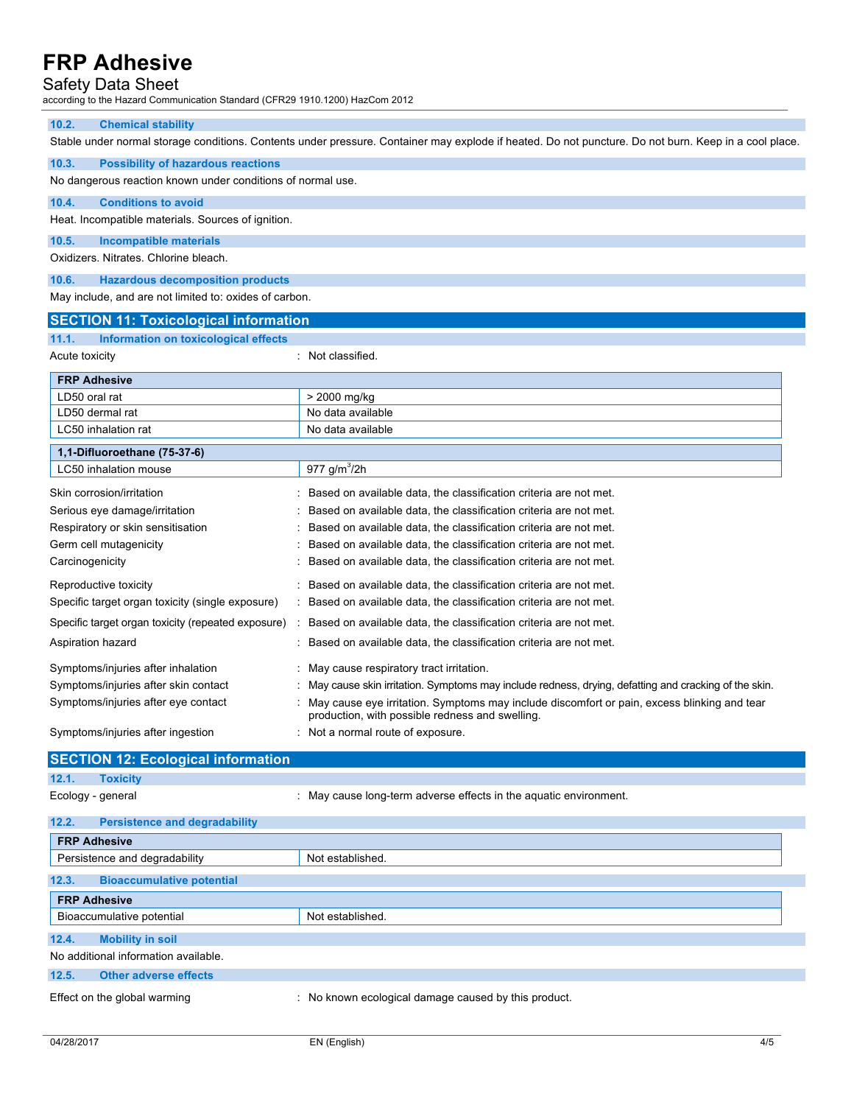### Safety Data Sheet

according to the Hazard Communication Standard (CFR29 1910.1200) HazCom 2012

#### **10.2. Chemical stability**

Stable under normal storage conditions. Contents under pressure. Container may explode if heated. Do not puncture. Do not burn. Keep in a cool place.

#### **10.3. Possibility of hazardous reactions**

No dangerous reaction known under conditions of normal use.

#### **10.4. Conditions to avoid**

Heat. Incompatible materials. Sources of ignition.

#### **10.5. Incompatible materials**

Oxidizers. Nitrates. Chlorine bleach.

#### **10.6. Hazardous decomposition products**

May include, and are not limited to: oxides of carbon.

| <b>SECTION 11: Toxicological information</b>       |                                                                                                        |
|----------------------------------------------------|--------------------------------------------------------------------------------------------------------|
| 11.1.<br>Information on toxicological effects      |                                                                                                        |
| Acute toxicity                                     | : Not classified.                                                                                      |
| <b>FRP Adhesive</b>                                |                                                                                                        |
| LD50 oral rat                                      | > 2000 mg/kg                                                                                           |
| LD50 dermal rat                                    | No data available                                                                                      |
| LC50 inhalation rat                                | No data available                                                                                      |
| 1,1-Difluoroethane (75-37-6)                       |                                                                                                        |
| LC50 inhalation mouse                              | 977 g/m <sup>3</sup> /2h                                                                               |
| Skin corrosion/irritation                          | Based on available data, the classification criteria are not met.                                      |
| Serious eye damage/irritation                      | Based on available data, the classification criteria are not met.                                      |
| Respiratory or skin sensitisation                  | Based on available data, the classification criteria are not met.                                      |
| Germ cell mutagenicity                             | Based on available data, the classification criteria are not met.                                      |
| Carcinogenicity                                    | Based on available data, the classification criteria are not met.                                      |
| Reproductive toxicity                              | Based on available data, the classification criteria are not met.                                      |
| Specific target organ toxicity (single exposure)   | : Based on available data, the classification criteria are not met.                                    |
| Specific target organ toxicity (repeated exposure) | Based on available data, the classification criteria are not met.                                      |
| Aspiration hazard                                  | Based on available data, the classification criteria are not met.                                      |
| Symptoms/injuries after inhalation                 | May cause respiratory tract irritation.                                                                |
| Symptoms/injuries after skin contact               | : May cause skin irritation. Symptoms may include redness, drying, defatting and cracking of the skin. |

#### Symptoms/injuries after eye contact : May cause eye irritation. Symptoms may include discomfort or pain, excess blinking and tear production, with possible redness and swelling.

Symptoms/injuries after ingestion : Not a normal route of exposure.

### **SECTION 12: Ecological information 12.1. Toxicity**

Ecology - general **Ecology** - general interests in the aquatic environment.

## **12.2. Persistence and degradability FRP Adhesive** Persistence and degradability Not established. **12.3. Bioaccumulative potential FRP Adhesive** Bioaccumulative potential Not established. **12.4. Mobility in soil** No additional information available. **12.5. Other adverse effects** Effect on the global warming : No known ecological damage caused by this product.